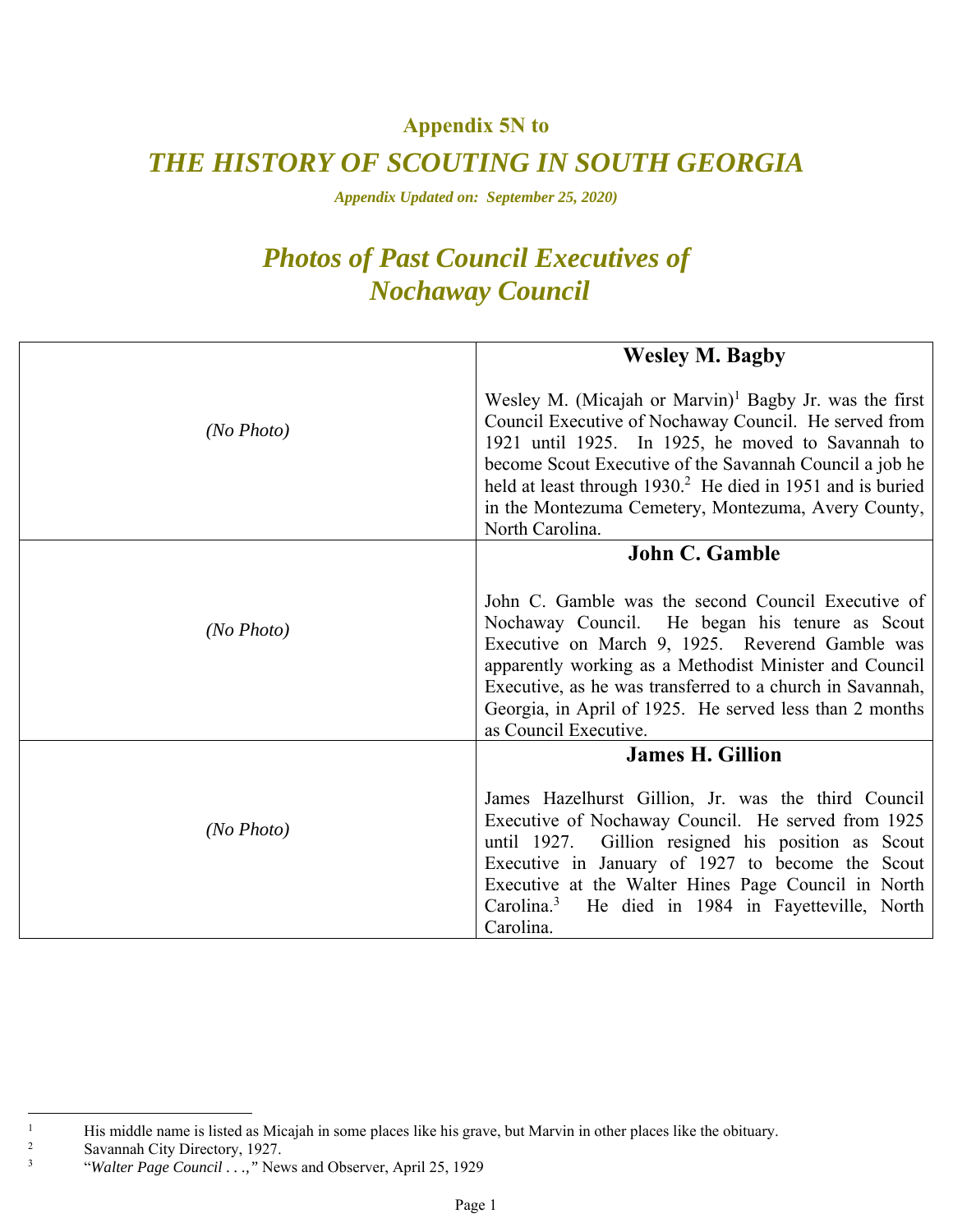## **Appendix 5N to**

## *THE HISTORY OF SCOUTING IN SOUTH GEORGIA*

*Appendix Updated on: September 25, 2020)* 

## *Photos of Past Council Executives of Nochaway Council*

|            | <b>Wesley M. Bagby</b>                                                                                                                                                                                                                                                                                                                                                                          |
|------------|-------------------------------------------------------------------------------------------------------------------------------------------------------------------------------------------------------------------------------------------------------------------------------------------------------------------------------------------------------------------------------------------------|
| (No Photo) | Wesley M. (Micajah or Marvin) <sup>1</sup> Bagby Jr. was the first<br>Council Executive of Nochaway Council. He served from<br>1921 until 1925. In 1925, he moved to Savannah to<br>become Scout Executive of the Savannah Council a job he<br>held at least through 1930. <sup>2</sup> He died in 1951 and is buried<br>in the Montezuma Cemetery, Montezuma, Avery County,<br>North Carolina. |
|            | <b>John C. Gamble</b>                                                                                                                                                                                                                                                                                                                                                                           |
| (No Photo) | John C. Gamble was the second Council Executive of<br>Nochaway Council. He began his tenure as Scout<br>Executive on March 9, 1925. Reverend Gamble was<br>apparently working as a Methodist Minister and Council<br>Executive, as he was transferred to a church in Savannah,<br>Georgia, in April of 1925. He served less than 2 months<br>as Council Executive.                              |
|            | <b>James H. Gillion</b>                                                                                                                                                                                                                                                                                                                                                                         |
| (No Photo) | James Hazelhurst Gillion, Jr. was the third Council<br>Executive of Nochaway Council. He served from 1925<br>until 1927. Gillion resigned his position as Scout<br>Executive in January of 1927 to become the Scout<br>Executive at the Walter Hines Page Council in North<br>Carolina. $3$<br>He died in 1984 in Fayetteville, North<br>Carolina.                                              |

 $\overline{a}$ 

<sup>1</sup>  $\frac{1}{2}$  His middle name is listed as Micajah in some places like his grave, but Marvin in other places like the obituary.

Savannah City Directory, 1927.

<sup>3</sup> "*Walter Page Council . . .,"* News and Observer, April 25, 1929